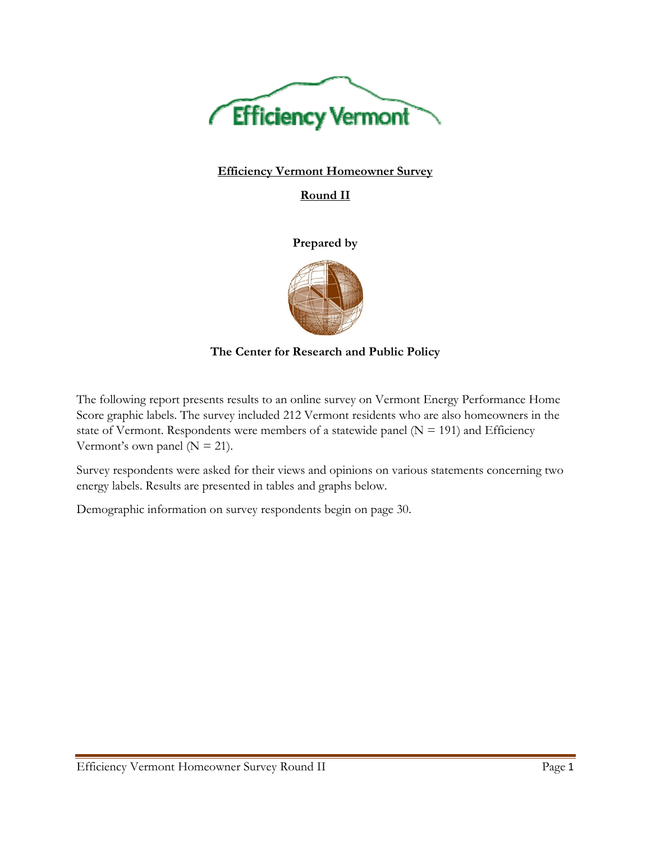

# **Efficiency Vermont Homeowner Survey**

**Round II** 

**Prepared by** 



**The Center for Research and Public Policy** 

The following report presents results to an online survey on Vermont Energy Performance Home Score graphic labels. The survey included 212 Vermont residents who are also homeowners in the state of Vermont. Respondents were members of a statewide panel ( $N = 191$ ) and Efficiency Vermont's own panel ( $N = 21$ ).

Survey respondents were asked for their views and opinions on various statements concerning two energy labels. Results are presented in tables and graphs below.

Demographic information on survey respondents begin on page 30.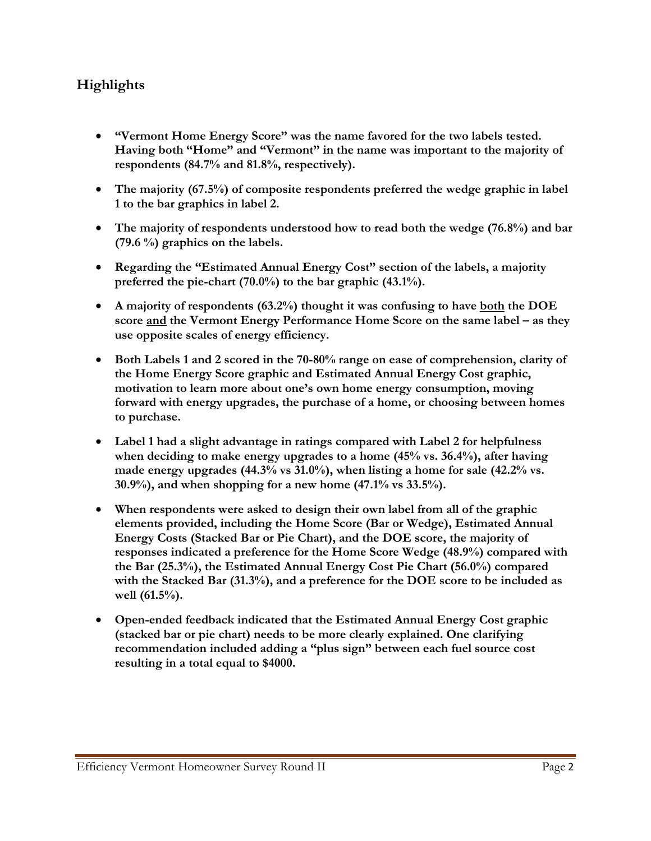# **Highlights**

- **"Vermont Home Energy Score" was the name favored for the two labels tested. Having both "Home" and "Vermont" in the name was important to the majority of respondents (84.7% and 81.8%, respectively).**
- **The majority (67.5%) of composite respondents preferred the wedge graphic in label 1 to the bar graphics in label 2.**
- **The majority of respondents understood how to read both the wedge (76.8%) and bar (79.6 %) graphics on the labels.**
- **Regarding the "Estimated Annual Energy Cost" section of the labels, a majority preferred the pie-chart (70.0%) to the bar graphic (43.1%).**
- **A majority of respondents (63.2%) thought it was confusing to have both the DOE score and the Vermont Energy Performance Home Score on the same label – as they use opposite scales of energy efficiency.**
- **Both Labels 1 and 2 scored in the 70-80% range on ease of comprehension, clarity of the Home Energy Score graphic and Estimated Annual Energy Cost graphic, motivation to learn more about one's own home energy consumption, moving forward with energy upgrades, the purchase of a home, or choosing between homes to purchase.**
- **Label 1 had a slight advantage in ratings compared with Label 2 for helpfulness when deciding to make energy upgrades to a home (45% vs. 36.4%), after having made energy upgrades (44.3% vs 31.0%), when listing a home for sale (42.2% vs. 30.9%), and when shopping for a new home (47.1% vs 33.5%).**
- **When respondents were asked to design their own label from all of the graphic elements provided, including the Home Score (Bar or Wedge), Estimated Annual Energy Costs (Stacked Bar or Pie Chart), and the DOE score, the majority of responses indicated a preference for the Home Score Wedge (48.9%) compared with the Bar (25.3%), the Estimated Annual Energy Cost Pie Chart (56.0%) compared with the Stacked Bar (31.3%), and a preference for the DOE score to be included as well (61.5%).**
- **Open-ended feedback indicated that the Estimated Annual Energy Cost graphic (stacked bar or pie chart) needs to be more clearly explained. One clarifying recommendation included adding a "plus sign" between each fuel source cost resulting in a total equal to \$4000.**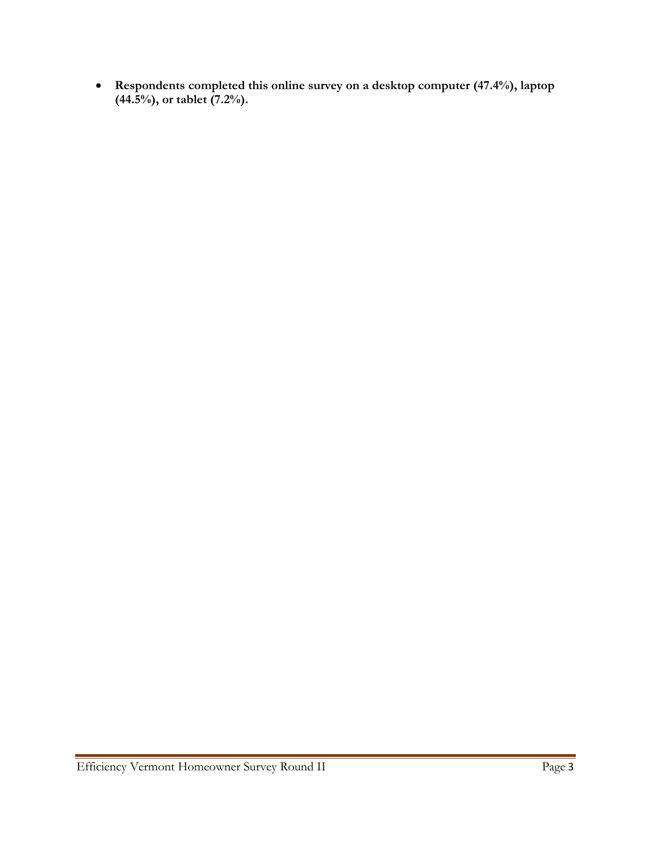**Respondents completed this online survey on a desktop computer (47.4%), laptop (44.5%), or tablet (7.2%).**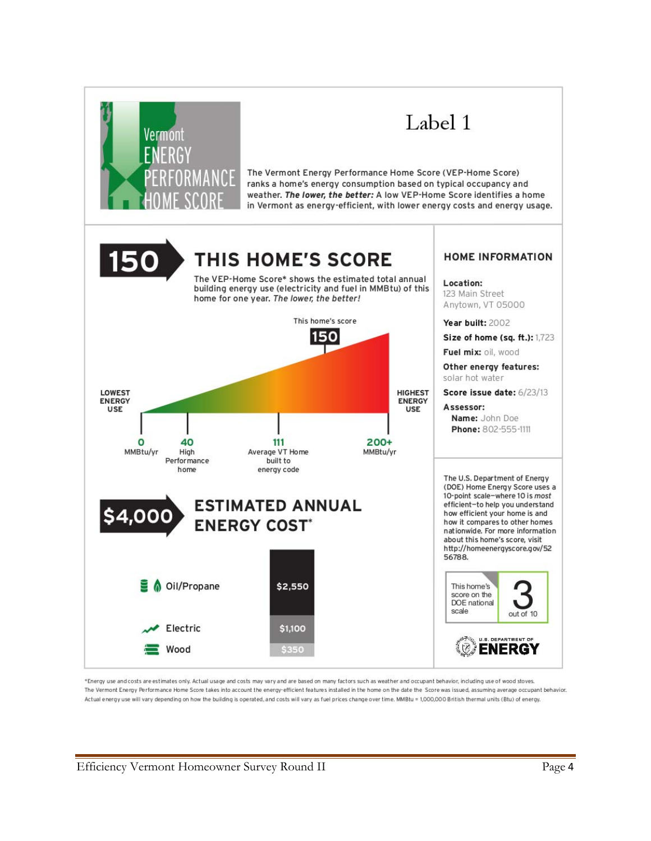

\*Energy use and costs are estimates only. Actual usage and costs may vary and are based on many factors such as weather and occupant behavior, including use of wood stoves. The Vermont Energy Performance Home Score takes into account the energy-efficient features installed in the home on the date the Score was issued, assuming average occupant behavior. Actual energy use will vary depending on how the building is operated, and costs will vary as fuel prices change over time. MMBtu = 1,000,000 British thermal units (Btu) of energy.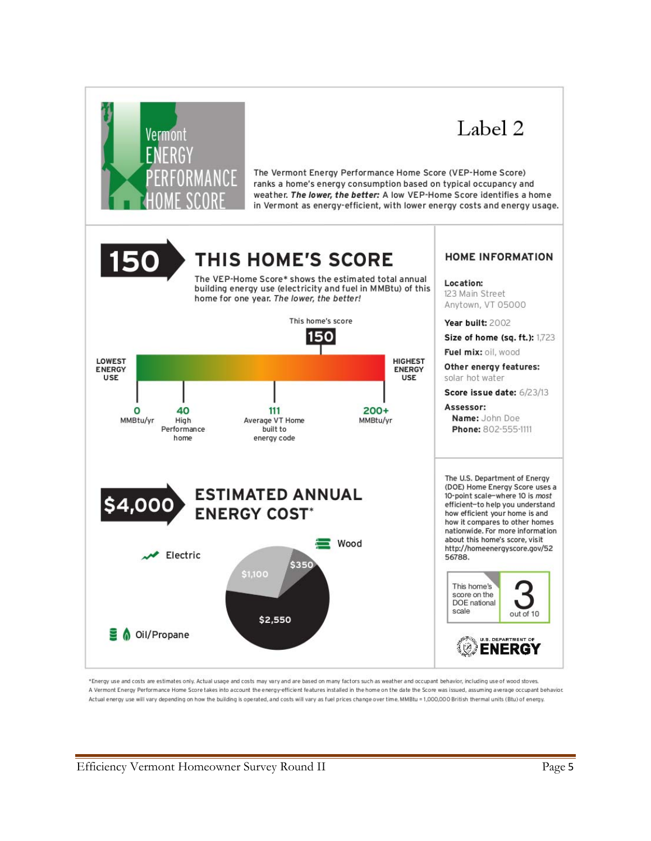

\*Energy use and costs are estimates only. Actual usage and costs may vary and are based on many factors such as weather and occupant behavior, including use of wood stoves. A Vermont Energy Performance Home Score takes into account the energy-efficient features installed in the home on the date the Score was issued, assuming average occupant behavior. Actual energy use will vary depending on how the building is operated, and costs will vary as fuel prices change over time. MMBtu = 1,000,000 British thermal units (Btu) of energy.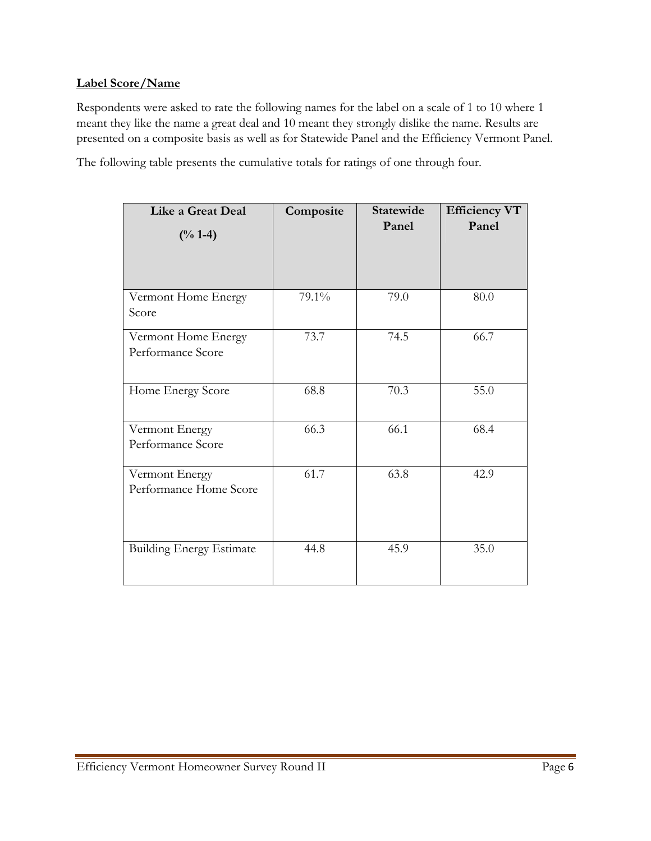#### **Label Score/Name**

Respondents were asked to rate the following names for the label on a scale of 1 to 10 where 1 meant they like the name a great deal and 10 meant they strongly dislike the name. Results are presented on a composite basis as well as for Statewide Panel and the Efficiency Vermont Panel.

The following table presents the cumulative totals for ratings of one through four.

| <b>Like a Great Deal</b>                 | Composite | <b>Statewide</b> | <b>Efficiency VT</b> |
|------------------------------------------|-----------|------------------|----------------------|
| $(\frac{0}{6} 1 - 4)$                    |           | Panel            | Panel                |
| Vermont Home Energy<br>Score             | 79.1%     | 79.0             | 80.0                 |
| Vermont Home Energy<br>Performance Score | 73.7      | 74.5             | 66.7                 |
| Home Energy Score                        | 68.8      | 70.3             | 55.0                 |
| Vermont Energy<br>Performance Score      | 66.3      | 66.1             | 68.4                 |
| Vermont Energy<br>Performance Home Score | 61.7      | 63.8             | 42.9                 |
| <b>Building Energy Estimate</b>          | 44.8      | 45.9             | 35.0                 |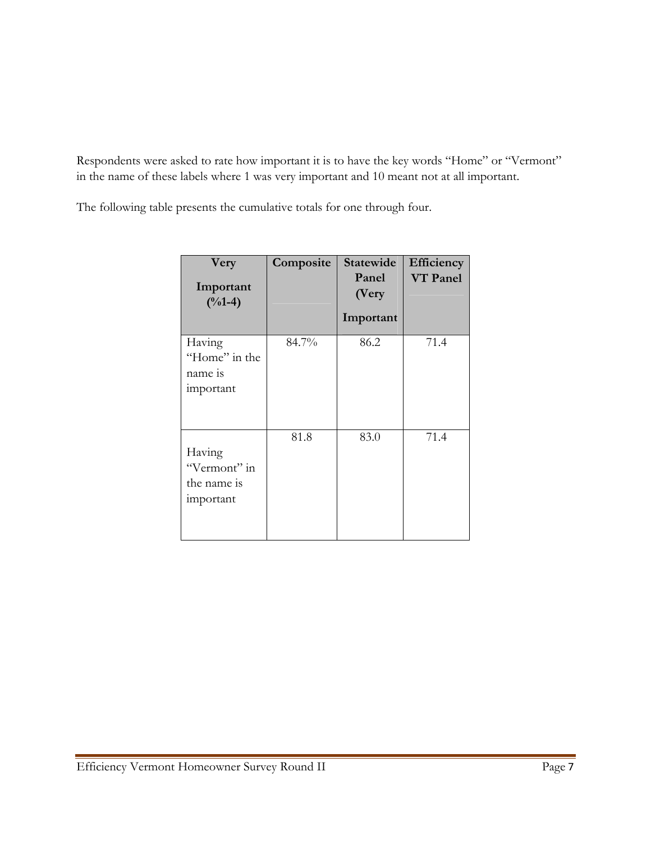Respondents were asked to rate how important it is to have the key words "Home" or "Vermont" in the name of these labels where 1 was very important and 10 meant not at all important.

The following table presents the cumulative totals for one through four.

| Very<br>Important<br>$(^{0}/_{0}1-4)$              | Composite | Statewide<br>Panel<br>(Very<br>Important | Efficiency<br><b>VT</b> Panel |
|----------------------------------------------------|-----------|------------------------------------------|-------------------------------|
| Having<br>"Home" in the<br>name is<br>important    | 84.7%     | 86.2                                     | 71.4                          |
| Having<br>"Vermont" in<br>the name is<br>important | 81.8      | 83.0                                     | 71.4                          |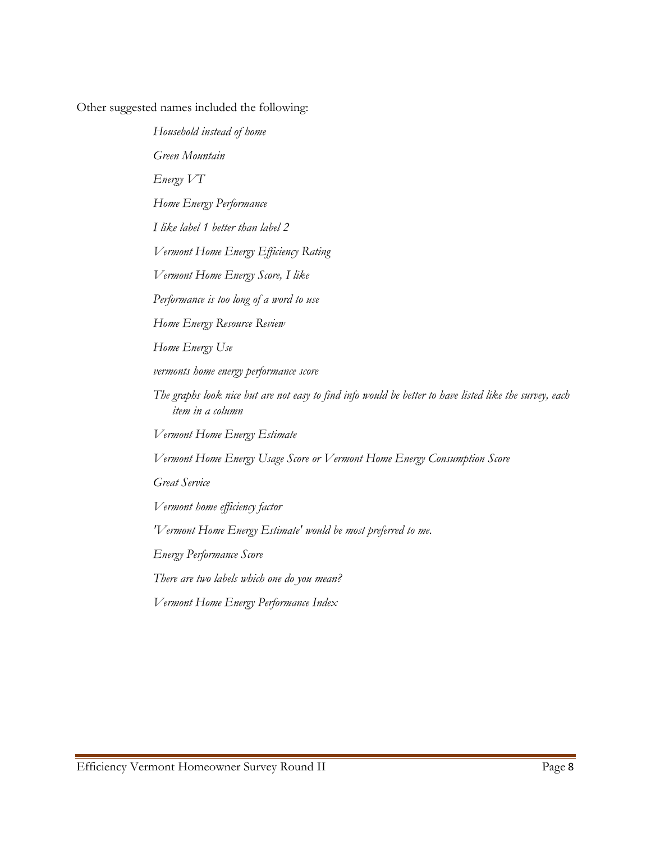Other suggested names included the following:

*Household instead of home Green Mountain Energy VT Home Energy Performance I like label 1 better than label 2 Vermont Home Energy Efficiency Rating Vermont Home Energy Score, I like Performance is too long of a word to use Home Energy Resource Review Home Energy Use vermonts home energy performance score The graphs look nice but are not easy to find info would be better to have listed like the survey, each item in a column Vermont Home Energy Estimate Vermont Home Energy Usage Score or Vermont Home Energy Consumption Score Great Service Vermont home efficiency factor 'Vermont Home Energy Estimate' would be most preferred to me. Energy Performance Score There are two labels which one do you mean? Vermont Home Energy Performance Index*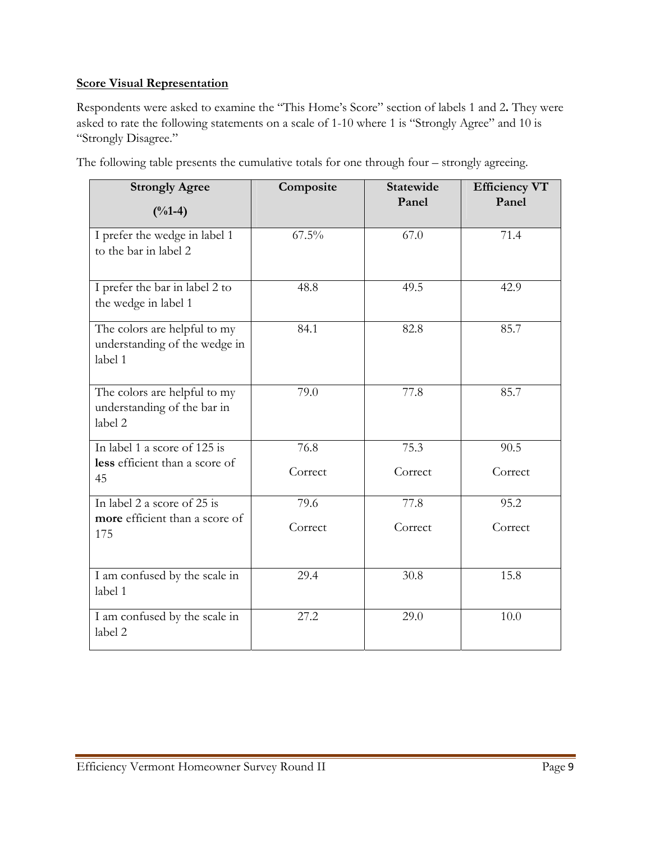# **Score Visual Representation**

Respondents were asked to examine the "This Home's Score" section of labels 1 and 2**.** They were asked to rate the following statements on a scale of 1-10 where 1 is "Strongly Agree" and 10 is "Strongly Disagree."

| <b>Strongly Agree</b><br>$(^{0}/_{0}1-4)$                                | Composite | <b>Statewide</b><br>Panel | <b>Efficiency VT</b><br>Panel |
|--------------------------------------------------------------------------|-----------|---------------------------|-------------------------------|
| I prefer the wedge in label 1<br>to the bar in label 2                   | $67.5\%$  | 67.0                      | 71.4                          |
| I prefer the bar in label 2 to<br>the wedge in label 1                   | 48.8      | 49.5                      | 42.9                          |
| The colors are helpful to my<br>understanding of the wedge in<br>label 1 | 84.1      | 82.8                      | 85.7                          |
| The colors are helpful to my<br>understanding of the bar in<br>label 2   | 79.0      | 77.8                      | 85.7                          |
| In label 1 a score of 125 is                                             | 76.8      | 75.3                      | 90.5                          |
| less efficient than a score of<br>45                                     | Correct   | Correct                   | Correct                       |
| In label 2 a score of 25 is                                              | 79.6      | 77.8                      | 95.2                          |
| more efficient than a score of<br>175                                    | Correct   | Correct                   | Correct                       |
| I am confused by the scale in<br>label 1                                 | 29.4      | 30.8                      | 15.8                          |
| I am confused by the scale in<br>label 2                                 | 27.2      | 29.0                      | 10.0                          |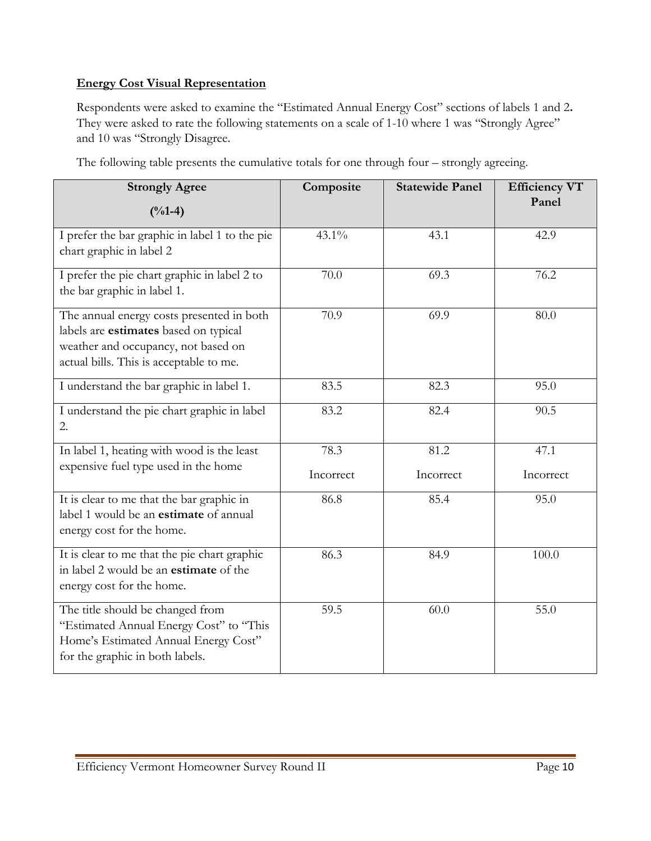# **Energy Cost Visual Representation**

Respondents were asked to examine the "Estimated Annual Energy Cost" sections of labels 1 and 2**.** They were asked to rate the following statements on a scale of 1-10 where 1 was "Strongly Agree" and 10 was "Strongly Disagree.

| <b>Strongly Agree</b><br>$(^{0}/_{0}1-4)$                                                                                                                            | Composite | <b>Statewide Panel</b> | <b>Efficiency VT</b><br>Panel |
|----------------------------------------------------------------------------------------------------------------------------------------------------------------------|-----------|------------------------|-------------------------------|
| I prefer the bar graphic in label 1 to the pie<br>chart graphic in label 2                                                                                           | $43.1\%$  | 43.1                   | 42.9                          |
| I prefer the pie chart graphic in label 2 to<br>the bar graphic in label 1.                                                                                          | 70.0      | 69.3                   | 76.2                          |
| The annual energy costs presented in both<br>labels are estimates based on typical<br>weather and occupancy, not based on<br>actual bills. This is acceptable to me. | 70.9      | 69.9                   | 80.0                          |
| I understand the bar graphic in label 1.                                                                                                                             | 83.5      | 82.3                   | 95.0                          |
| I understand the pie chart graphic in label<br>2.                                                                                                                    | 83.2      | 82.4                   | 90.5                          |
| In label 1, heating with wood is the least                                                                                                                           | 78.3      | 81.2                   | 47.1                          |
| expensive fuel type used in the home                                                                                                                                 | Incorrect | Incorrect              | Incorrect                     |
| It is clear to me that the bar graphic in<br>label 1 would be an <b>estimate</b> of annual<br>energy cost for the home.                                              | 86.8      | 85.4                   | 95.0                          |
| It is clear to me that the pie chart graphic<br>in label 2 would be an <b>estimate</b> of the<br>energy cost for the home.                                           | 86.3      | 84.9                   | 100.0                         |
| The title should be changed from<br>"Estimated Annual Energy Cost" to "This<br>Home's Estimated Annual Energy Cost"<br>for the graphic in both labels.               | 59.5      | 60.0                   | 55.0                          |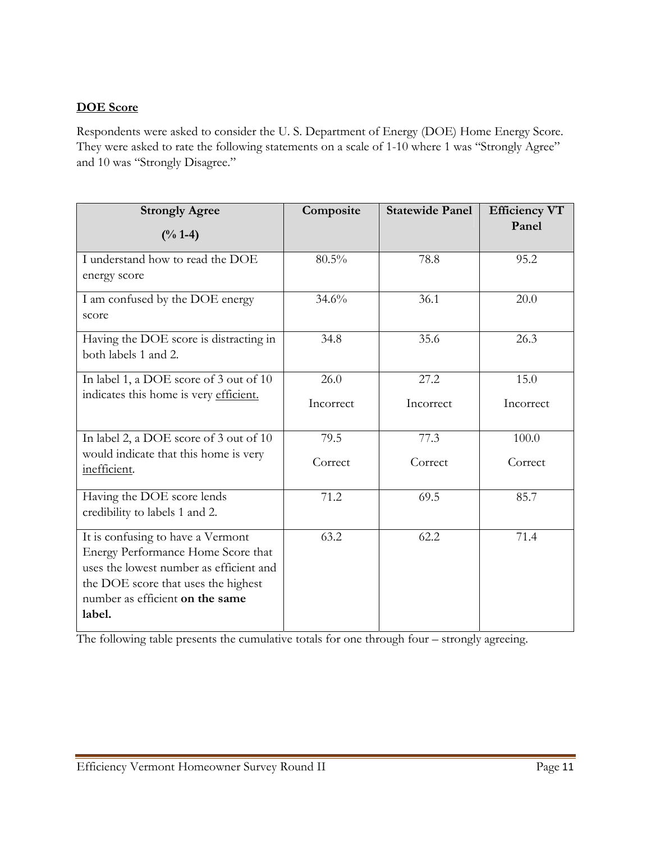# **DOE Score**

Respondents were asked to consider the U. S. Department of Energy (DOE) Home Energy Score. They were asked to rate the following statements on a scale of 1-10 where 1 was "Strongly Agree" and 10 was "Strongly Disagree."

| <b>Strongly Agree</b>                                                  | Composite | <b>Statewide Panel</b> | <b>Efficiency VT</b><br>Panel |
|------------------------------------------------------------------------|-----------|------------------------|-------------------------------|
| $(\frac{6}{6} 1 - 4)$                                                  |           |                        |                               |
| I understand how to read the DOE                                       | 80.5%     | 78.8                   | 95.2                          |
| energy score                                                           |           |                        |                               |
| I am confused by the DOE energy                                        | 34.6%     | 36.1                   | 20.0                          |
| score                                                                  |           |                        |                               |
| Having the DOE score is distracting in                                 | 34.8      | 35.6                   | 26.3                          |
| both labels 1 and 2.                                                   |           |                        |                               |
| In label 1, a DOE score of 3 out of 10                                 | 26.0      | 27.2                   | 15.0                          |
| indicates this home is very efficient.                                 | Incorrect | Incorrect              | Incorrect                     |
|                                                                        |           |                        |                               |
| In label 2, a DOE score of 3 out of 10                                 | 79.5      | 77.3                   | 100.0                         |
| would indicate that this home is very                                  | Correct   | Correct                | Correct                       |
| inefficient.                                                           |           |                        |                               |
| Having the DOE score lends                                             | 71.2      | 69.5                   | 85.7                          |
| credibility to labels 1 and 2.                                         |           |                        |                               |
| It is confusing to have a Vermont                                      | 63.2      | 62.2                   | 71.4                          |
| Energy Performance Home Score that                                     |           |                        |                               |
| uses the lowest number as efficient and                                |           |                        |                               |
| the DOE score that uses the highest<br>number as efficient on the same |           |                        |                               |
| label.                                                                 |           |                        |                               |
|                                                                        |           |                        |                               |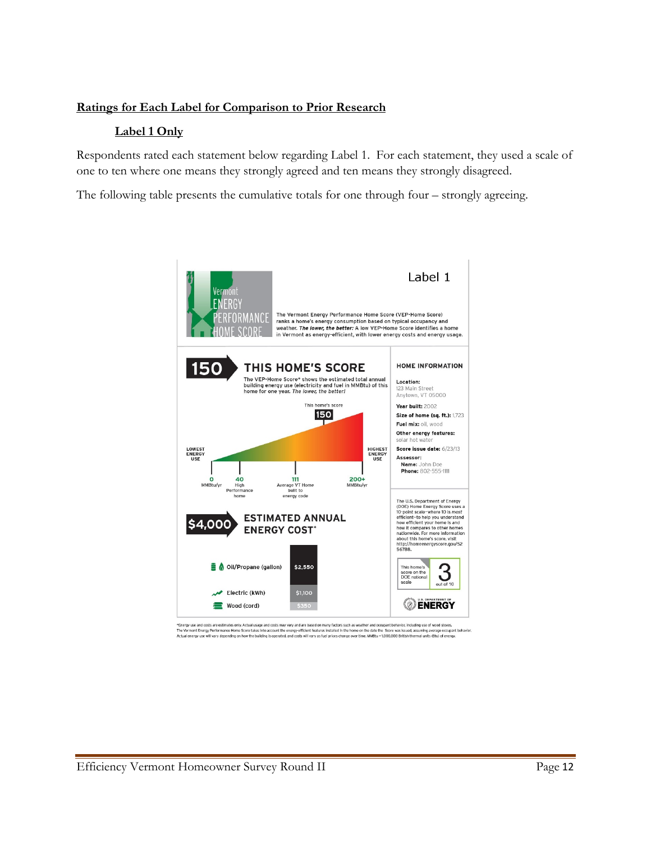### **Ratings for Each Label for Comparison to Prior Research**

#### **Label 1 Only**

Respondents rated each statement below regarding Label 1. For each statement, they used a scale of one to ten where one means they strongly agreed and ten means they strongly disagreed.

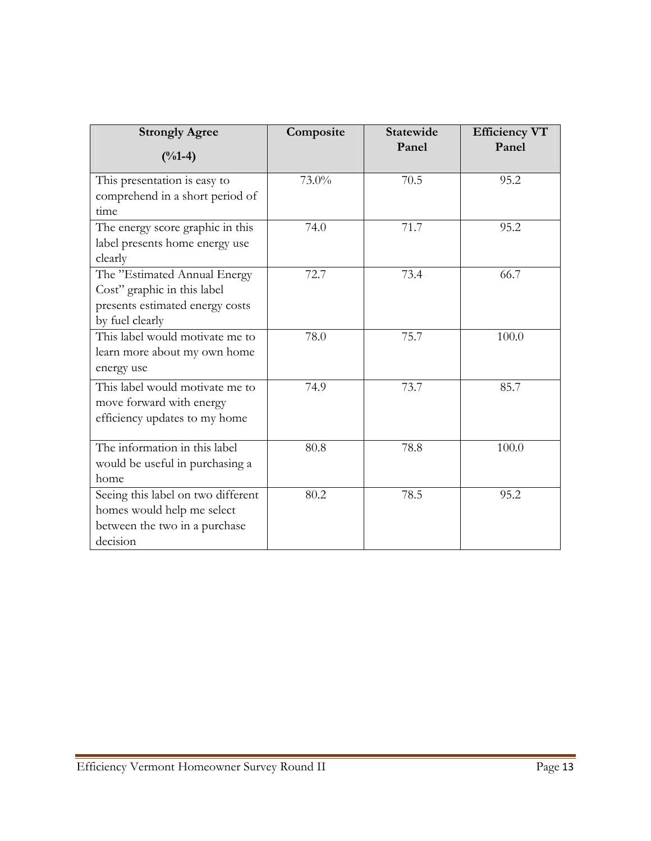| <b>Strongly Agree</b>              | Composite | <b>Statewide</b><br>Panel | <b>Efficiency VT</b><br>Panel |
|------------------------------------|-----------|---------------------------|-------------------------------|
| $(^{0}/_{0}1-4)$                   |           |                           |                               |
| This presentation is easy to       | 73.0%     | 70.5                      | 95.2                          |
| comprehend in a short period of    |           |                           |                               |
| time                               |           |                           |                               |
| The energy score graphic in this   | 74.0      | 71.7                      | 95.2                          |
| label presents home energy use     |           |                           |                               |
| clearly                            |           |                           |                               |
| The "Estimated Annual Energy       | 72.7      | 73.4                      | 66.7                          |
| Cost" graphic in this label        |           |                           |                               |
| presents estimated energy costs    |           |                           |                               |
| by fuel clearly                    |           |                           |                               |
| This label would motivate me to    | 78.0      | 75.7                      | 100.0                         |
| learn more about my own home       |           |                           |                               |
| energy use                         |           |                           |                               |
| This label would motivate me to    | 74.9      | 73.7                      | 85.7                          |
| move forward with energy           |           |                           |                               |
| efficiency updates to my home      |           |                           |                               |
|                                    |           |                           |                               |
| The information in this label      | 80.8      | 78.8                      | 100.0                         |
| would be useful in purchasing a    |           |                           |                               |
| home                               |           |                           |                               |
| Seeing this label on two different | 80.2      | 78.5                      | 95.2                          |
| homes would help me select         |           |                           |                               |
| between the two in a purchase      |           |                           |                               |
| decision                           |           |                           |                               |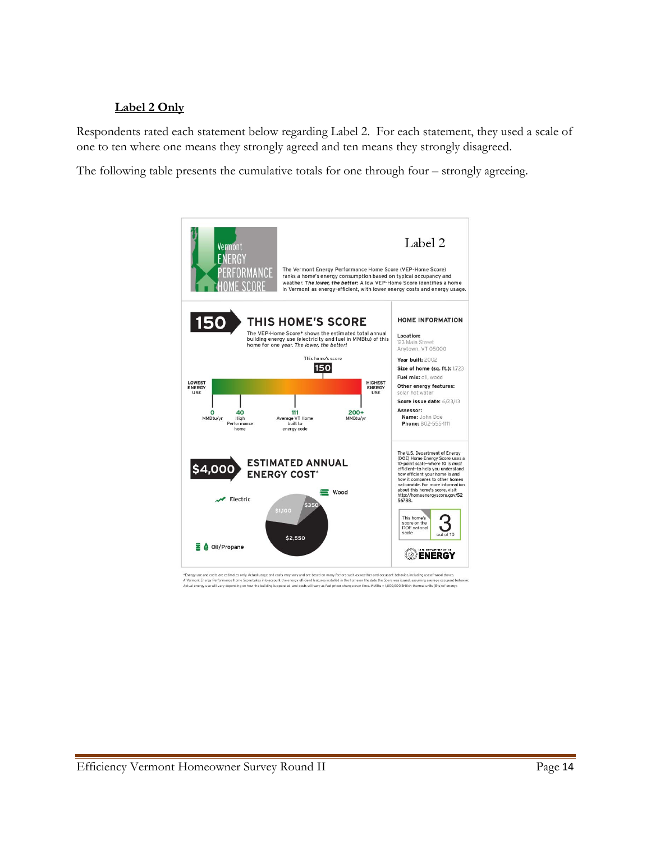# **Label 2 Only**

Respondents rated each statement below regarding Label 2. For each statement, they used a scale of one to ten where one means they strongly agreed and ten means they strongly disagreed.

The following table presents the cumulative totals for one through four – strongly agreeing.



\*Energy use and costs are estimates only. Actual usage and costs may may and are absoluted more thanking thanking the modern modern states and a streat the modern states and a streat the modern states of the modern states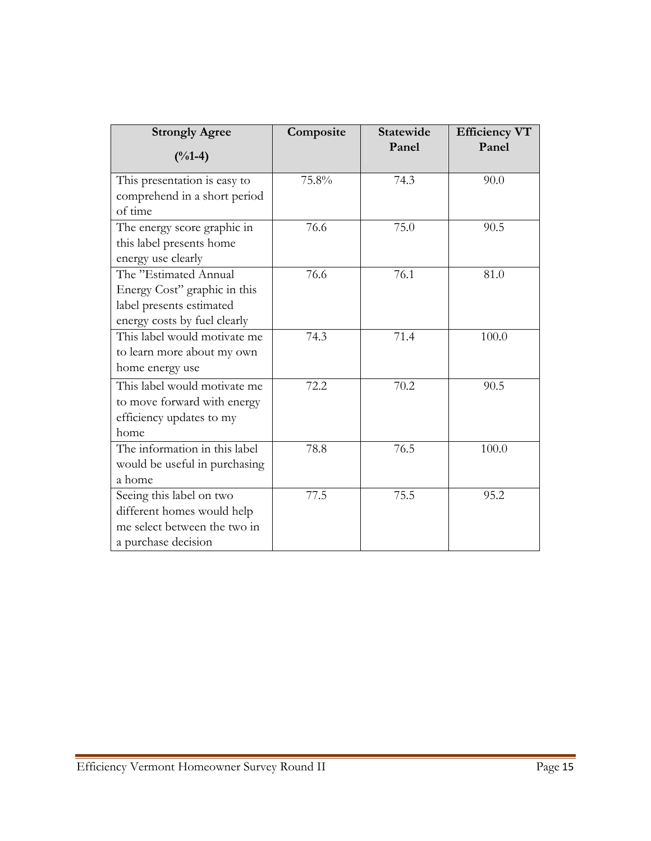| <b>Strongly Agree</b>         | Composite | <b>Statewide</b><br>Panel | <b>Efficiency VT</b><br>Panel |
|-------------------------------|-----------|---------------------------|-------------------------------|
| $(^{0}/_{0}1-4)$              |           |                           |                               |
| This presentation is easy to  | 75.8%     | 74.3                      | 90.0                          |
| comprehend in a short period  |           |                           |                               |
| of time                       |           |                           |                               |
| The energy score graphic in   | 76.6      | 75.0                      | 90.5                          |
| this label presents home      |           |                           |                               |
| energy use clearly            |           |                           |                               |
| The "Estimated Annual         | 76.6      | 76.1                      | 81.0                          |
| Energy Cost" graphic in this  |           |                           |                               |
| label presents estimated      |           |                           |                               |
| energy costs by fuel clearly  |           |                           |                               |
| This label would motivate me  | 74.3      | 71.4                      | 100.0                         |
| to learn more about my own    |           |                           |                               |
| home energy use               |           |                           |                               |
| This label would motivate me  | 72.2      | 70.2                      | 90.5                          |
| to move forward with energy   |           |                           |                               |
| efficiency updates to my      |           |                           |                               |
| home                          |           |                           |                               |
| The information in this label | 78.8      | 76.5                      | 100.0                         |
| would be useful in purchasing |           |                           |                               |
| a home                        |           |                           |                               |
| Seeing this label on two      | 77.5      | 75.5                      | 95.2                          |
| different homes would help    |           |                           |                               |
| me select between the two in  |           |                           |                               |
| a purchase decision           |           |                           |                               |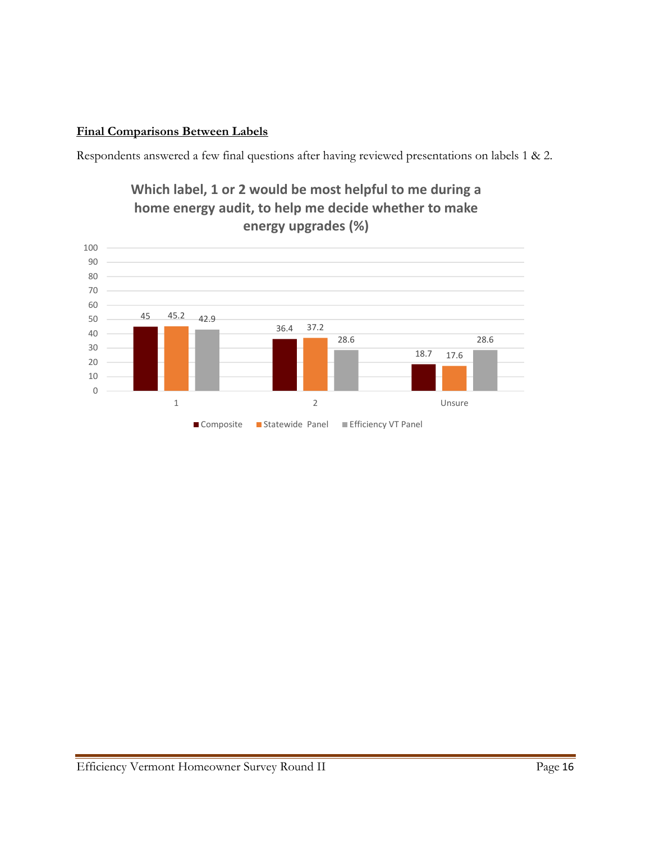# **Final Comparisons Between Labels**

Respondents answered a few final questions after having reviewed presentations on labels 1 & 2.



**Which label, 1 or 2 would be most helpful to me during a home energy audit, to help me decide whether to make**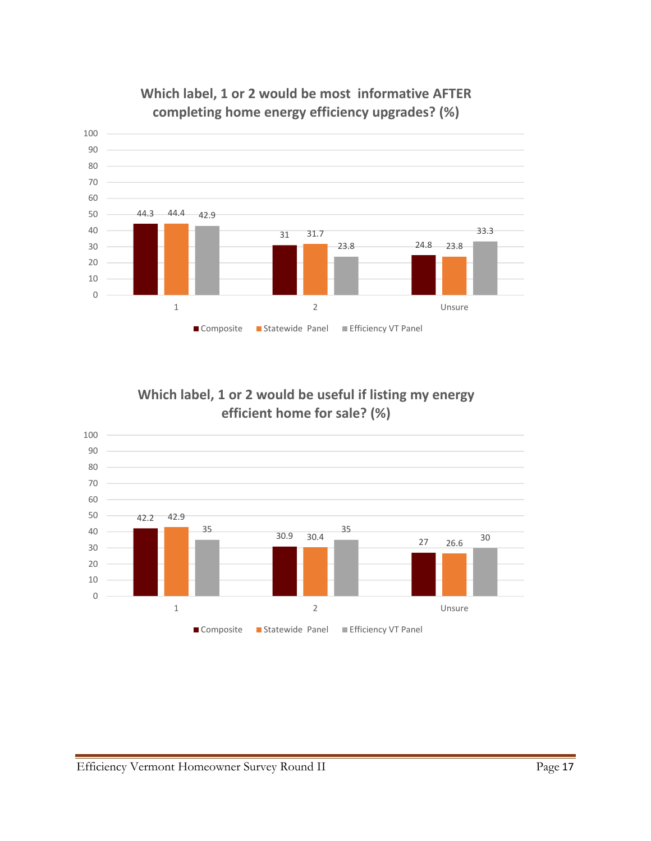

**Which label, 1 or 2 would be most informative AFTER completing home energy efficiency upgrades? (%)**

**Which label, 1 or 2 would be useful if listing my energy efficient home for sale? (%)**

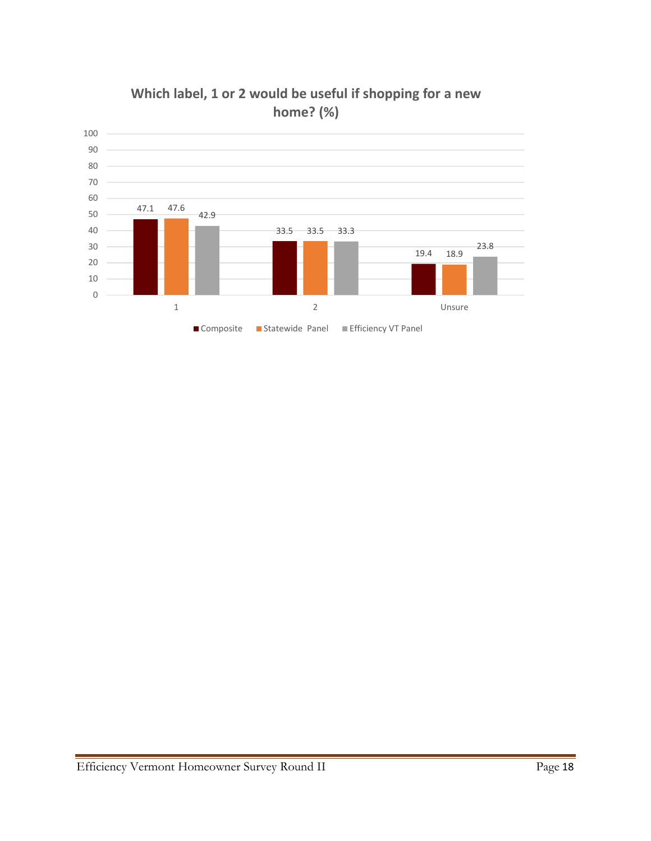

**Which label, 1 or 2 would be useful if shopping for a new home? (%)**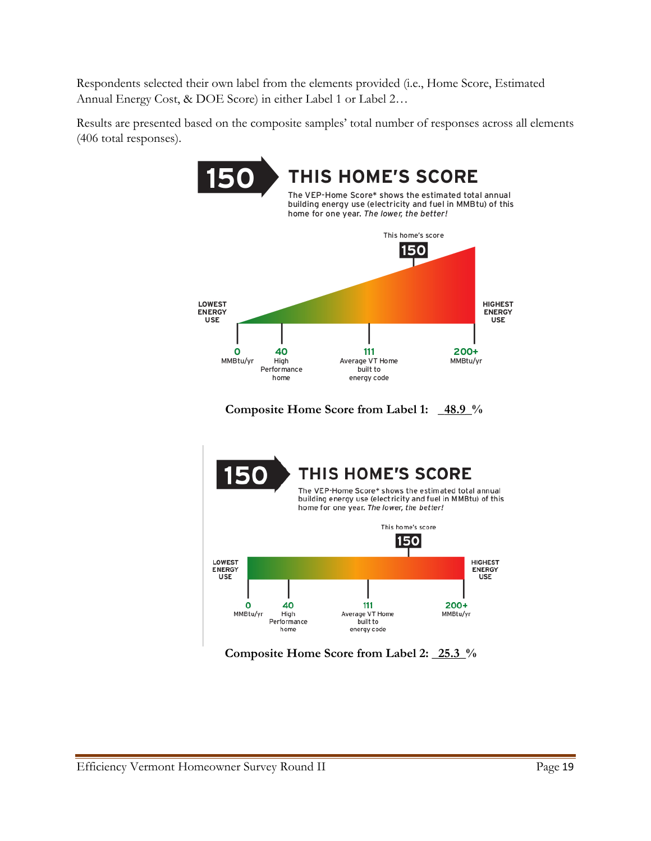Respondents selected their own label from the elements provided (i.e., Home Score, Estimated Annual Energy Cost, & DOE Score) in either Label 1 or Label 2…

Results are presented based on the composite samples' total number of responses across all elements (406 total responses).



**Composite Home Score from Label 2: \_25.3\_%** 

home

energy code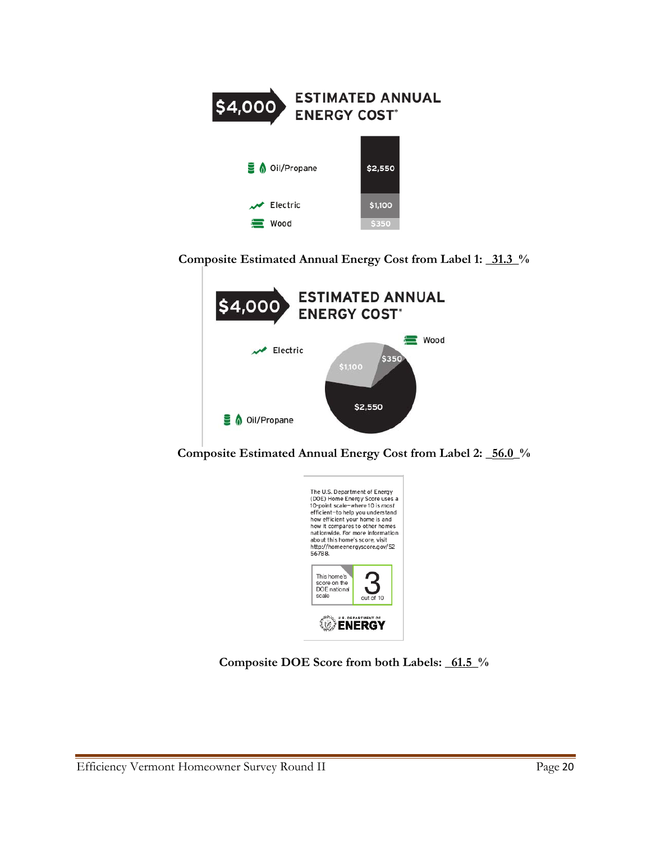

**Composite Estimated Annual Energy Cost from Label 1: \_31.3\_%** 



**Composite Estimated Annual Energy Cost from Label 2: \_56.0\_%** 



**Composite DOE Score from both Labels: \_61.5\_%**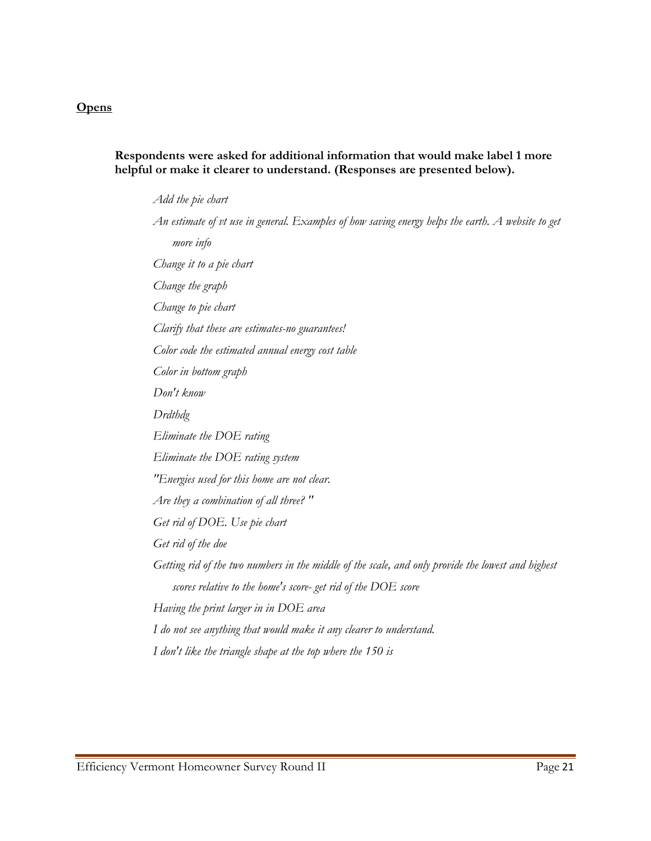#### **Opens**

#### **Respondents were asked for additional information that would make label 1 more helpful or make it clearer to understand. (Responses are presented below).**

*Add the pie chart An estimate of vt use in general. Examples of how saving energy helps the earth. A website to get more info Change it to a pie chart Change the graph Change to pie chart Clarify that these are estimates-no guarantees! Color code the estimated annual energy cost table Color in bottom graph Don't know Drdthdg Eliminate the DOE rating Eliminate the DOE rating system "Energies used for this home are not clear. Are they a combination of all three? " Get rid of DOE. Use pie chart Get rid of the doe Getting rid of the two numbers in the middle of the scale, and only provide the lowest and highest scores relative to the home's score- get rid of the DOE score Having the print larger in in DOE area I do not see anything that would make it any clearer to understand. I don't like the triangle shape at the top where the 150 is*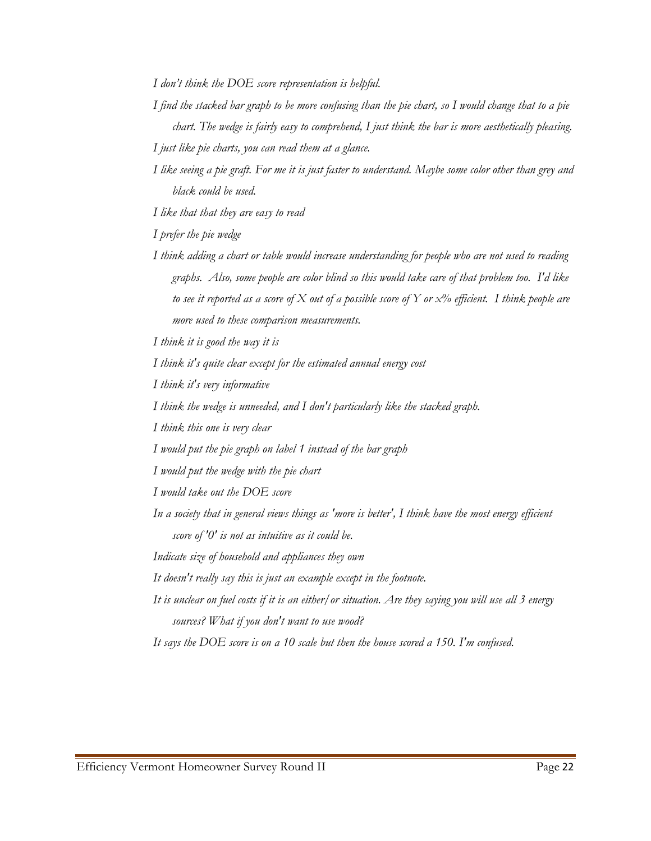*I don't think the DOE score representation is helpful.* 

- *I find the stacked bar graph to be more confusing than the pie chart, so I would change that to a pie chart. The wedge is fairly easy to comprehend, I just think the bar is more aesthetically pleasing.*
- *I just like pie charts, you can read them at a glance.*
- *I like seeing a pie graft. For me it is just faster to understand. Maybe some color other than grey and black could be used.*

*I like that that they are easy to read* 

*I prefer the pie wedge* 

*I think adding a chart or table would increase understanding for people who are not used to reading graphs. Also, some people are color blind so this would take care of that problem too. I'd like to see it reported as a score of X out of a possible score of Y or x% efficient. I think people are more used to these comparison measurements.* 

*I think it is good the way it is* 

*I think it's quite clear except for the estimated annual energy cost* 

*I think it's very informative* 

*I think the wedge is unneeded, and I don't particularly like the stacked graph.* 

*I think this one is very clear* 

*I would put the pie graph on label 1 instead of the bar graph* 

*I would put the wedge with the pie chart* 

*I would take out the DOE score* 

*In a society that in general views things as 'more is better', I think have the most energy efficient score of '0' is not as intuitive as it could be.* 

*Indicate size of household and appliances they own* 

*It doesn't really say this is just an example except in the footnote.* 

*It is unclear on fuel costs if it is an either/or situation. Are they saying you will use all 3 energy sources? What if you don't want to use wood?* 

*It says the DOE score is on a 10 scale but then the house scored a 150. I'm confused.*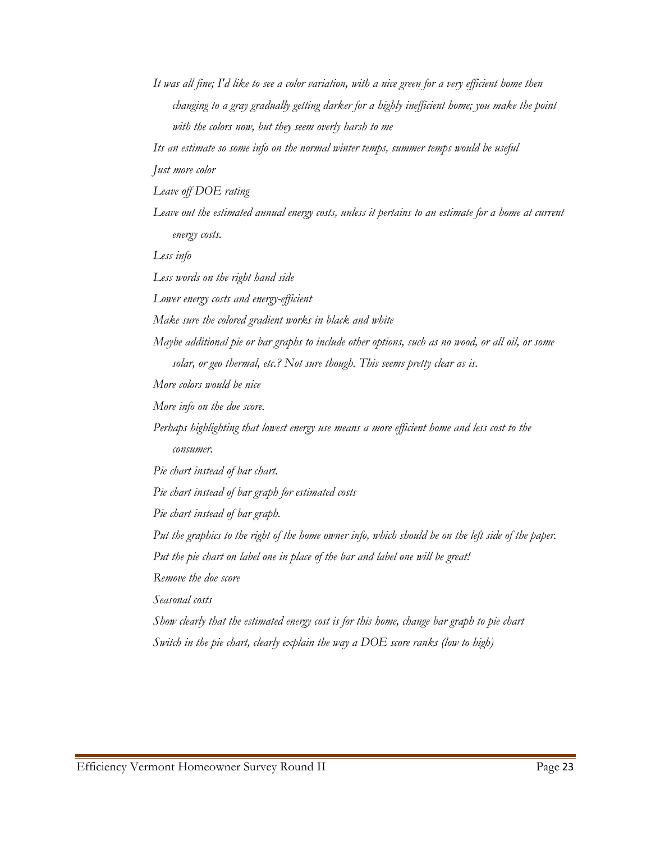*It was all fine; I'd like to see a color variation, with a nice green for a very efficient home then changing to a gray gradually getting darker for a highly inefficient home; you make the point with the colors now, but they seem overly harsh to me* 

*Its an estimate so some info on the normal winter temps, summer temps would be useful* 

*Just more color* 

*Leave off DOE rating* 

*Leave out the estimated annual energy costs, unless it pertains to an estimate for a home at current energy costs.* 

*Less info* 

*Less words on the right hand side* 

*Lower energy costs and energy-efficient* 

*Make sure the colored gradient works in black and white* 

*Maybe additional pie or bar graphs to include other options, such as no wood, or all oil, or some solar, or geo thermal, etc.? Not sure though. This seems pretty clear as is.* 

*More colors would be nice* 

*More info on the doe score.* 

*Perhaps highlighting that lowest energy use means a more efficient home and less cost to the consumer.* 

*Pie chart instead of bar chart.* 

*Pie chart instead of bar graph for estimated costs* 

*Pie chart instead of bar graph.* 

*Put the graphics to the right of the home owner info, which should be on the left side of the paper.* 

Put the pie chart on label one in place of the bar and label one will be great!

*Remove the doe score* 

*Seasonal costs* 

*Show clearly that the estimated energy cost is for this home, change bar graph to pie chart Switch in the pie chart, clearly explain the way a DOE score ranks (low to high)*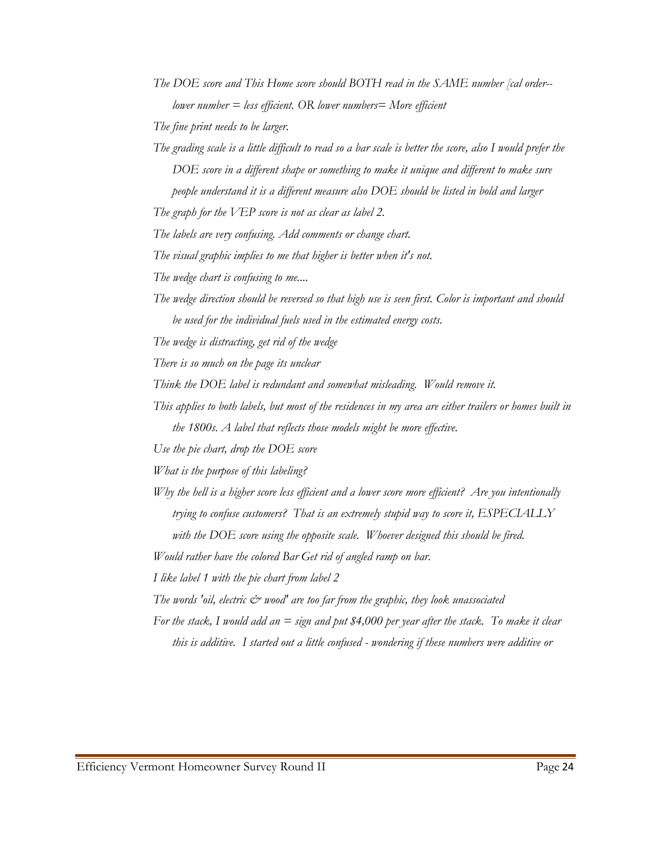*The DOE score and This Home score should BOTH read in the SAME number [cal order- lower number = less efficient. OR lower numbers= More efficient* 

*The fine print needs to be larger.* 

*The grading scale is a little difficult to read so a bar scale is better the score, also I would prefer the DOE score in a different shape or something to make it unique and different to make sure people understand it is a different measure also DOE should be listed in bold and larger* 

*The graph for the VEP score is not as clear as label 2.* 

*The labels are very confusing. Add comments or change chart.* 

*The visual graphic implies to me that higher is better when it's not.* 

*The wedge chart is confusing to me....* 

- *The wedge direction should be reversed so that high use is seen first. Color is important and should be used for the individual fuels used in the estimated energy costs.*
- *The wedge is distracting, get rid of the wedge*

*There is so much on the page its unclear* 

Think the DOE label is redundant and somewhat misleading. Would remove it.

- *This applies to both labels, but most of the residences in my area are either trailers or homes built in the 1800s. A label that reflects those models might be more effective.*
- *Use the pie chart, drop the DOE score*

*What is the purpose of this labeling?* 

*Why the hell is a higher score less efficient and a lower score more efficient? Are you intentionally trying to confuse customers? That is an extremely stupid way to score it, ESPECIALLY*  with the DOE score using the opposite scale. Whoever designed this should be fired.

*Would rather have the colored Bar Get rid of angled ramp on bar.* 

*I like label 1 with the pie chart from label 2* 

*The words 'oil, electric*  $\mathcal{C}^*$  *wood' are too far from the graphic, they look unassociated* 

*For the stack, I would add an = sign and put \$4,000 per year after the stack. To make it clear this is additive. I started out a little confused - wondering if these numbers were additive or*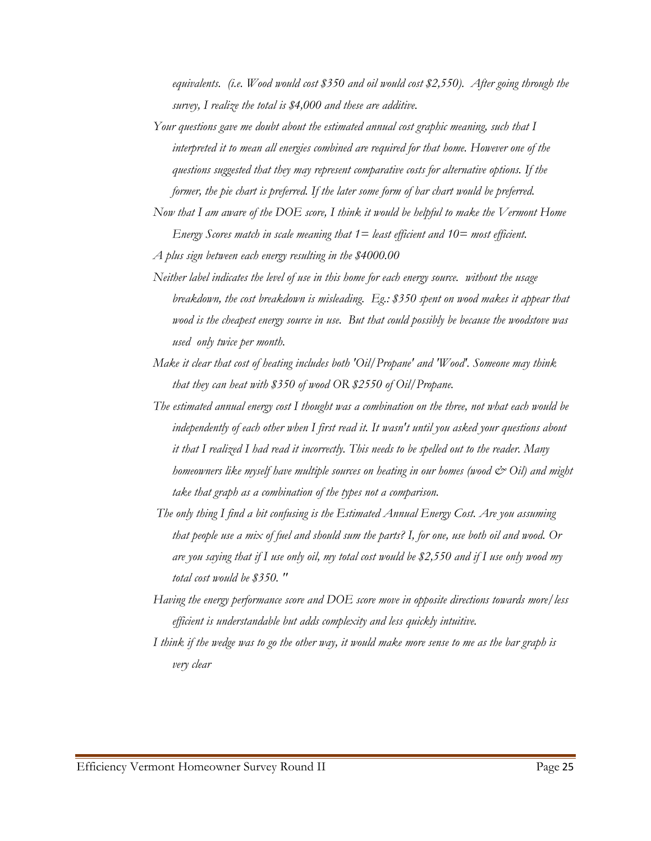*equivalents. (i.e. Wood would cost \$350 and oil would cost \$2,550). After going through the survey, I realize the total is \$4,000 and these are additive.* 

*Your questions gave me doubt about the estimated annual cost graphic meaning, such that I interpreted it to mean all energies combined are required for that home. However one of the questions suggested that they may represent comparative costs for alternative options. If the former, the pie chart is preferred. If the later some form of bar chart would be preferred.* 

- *Neither label indicates the level of use in this home for each energy source. without the usage breakdown, the cost breakdown is misleading. Eg.: \$350 spent on wood makes it appear that wood is the cheapest energy source in use. But that could possibly be because the woodstove was used only twice per month.*
- *Make it clear that cost of heating includes both 'Oil/Propane' and 'Wood'. Someone may think that they can heat with \$350 of wood OR \$2550 of Oil/Propane.*
- *The estimated annual energy cost I thought was a combination on the three, not what each would be independently of each other when I first read it. It wasn't until you asked your questions about it that I realized I had read it incorrectly. This needs to be spelled out to the reader. Many homeowners like myself have multiple sources on heating in our homes (wood*  $\breve{c}$  *Oil) and might take that graph as a combination of the types not a comparison.*
- *The only thing I find a bit confusing is the Estimated Annual Energy Cost. Are you assuming that people use a mix of fuel and should sum the parts? I, for one, use both oil and wood. Or are you saying that if I use only oil, my total cost would be \$2,550 and if I use only wood my total cost would be \$350. "*
- *Having the energy performance score and DOE score move in opposite directions towards more/less efficient is understandable but adds complexity and less quickly intuitive.*
- *I think if the wedge was to go the other way, it would make more sense to me as the bar graph is very clear*

*Now that I am aware of the DOE score, I think it would be helpful to make the Vermont Home Energy Scores match in scale meaning that 1= least efficient and 10= most efficient.* 

*A plus sign between each energy resulting in the \$4000.00*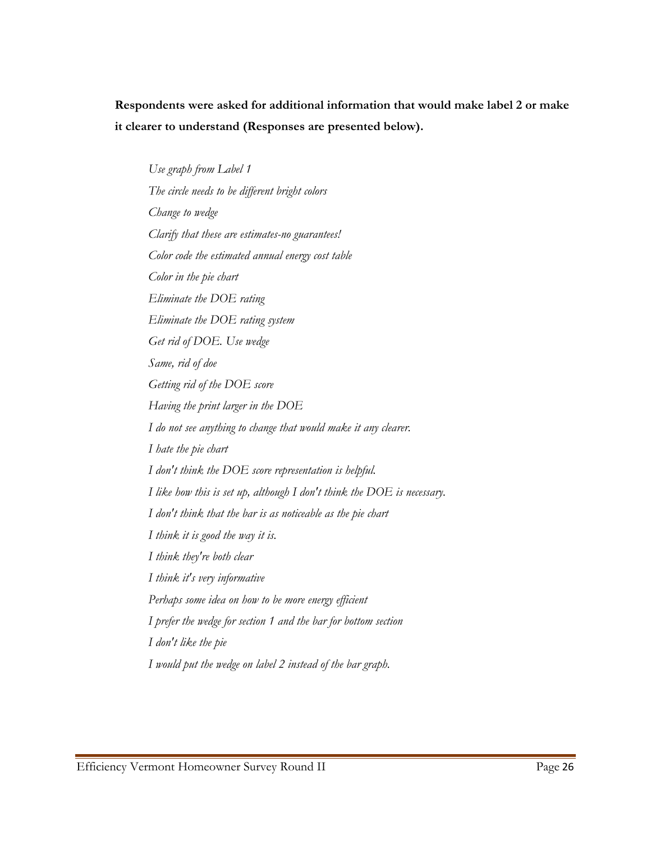**Respondents were asked for additional information that would make label 2 or make it clearer to understand (Responses are presented below).** 

*Use graph from Label 1 The circle needs to be different bright colors Change to wedge Clarify that these are estimates-no guarantees! Color code the estimated annual energy cost table Color in the pie chart Eliminate the DOE rating Eliminate the DOE rating system Get rid of DOE. Use wedge Same, rid of doe Getting rid of the DOE score Having the print larger in the DOE I do not see anything to change that would make it any clearer. I hate the pie chart I don't think the DOE score representation is helpful. I like how this is set up, although I don't think the DOE is necessary. I don't think that the bar is as noticeable as the pie chart I think it is good the way it is. I think they're both clear I think it's very informative Perhaps some idea on how to be more energy efficient I prefer the wedge for section 1 and the bar for bottom section I don't like the pie I would put the wedge on label 2 instead of the bar graph.*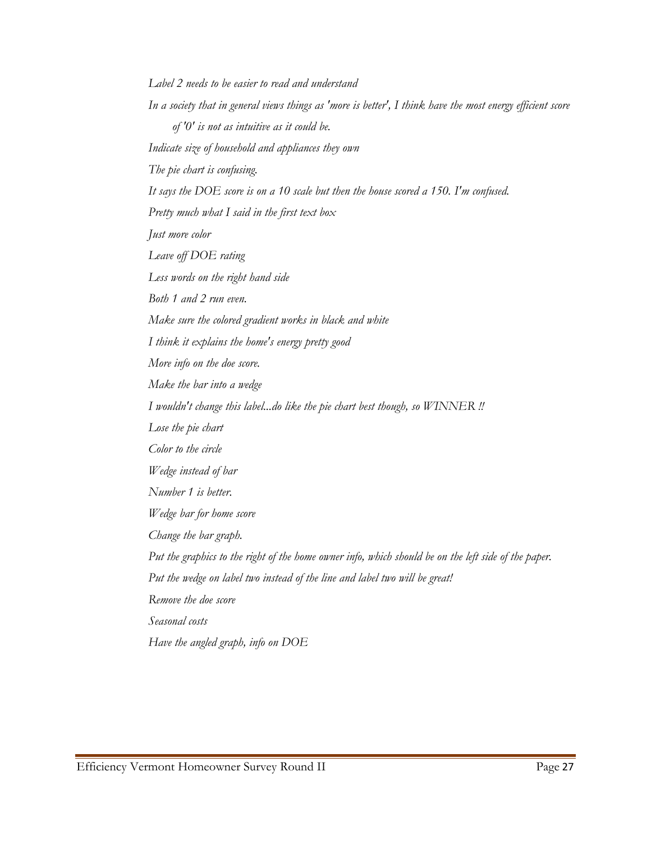*Label 2 needs to be easier to read and understand In a society that in general views things as 'more is better', I think have the most energy efficient score of '0' is not as intuitive as it could be. Indicate size of household and appliances they own The pie chart is confusing. It says the DOE score is on a 10 scale but then the house scored a 150. I'm confused. Pretty much what I said in the first text box Just more color Leave off DOE rating Less words on the right hand side Both 1 and 2 run even. Make sure the colored gradient works in black and white I think it explains the home's energy pretty good More info on the doe score. Make the bar into a wedge I wouldn't change this label...do like the pie chart best though, so WINNER !! Lose the pie chart Color to the circle Wedge instead of bar Number 1 is better. Wedge bar for home score Change the bar graph. Put the graphics to the right of the home owner info, which should be on the left side of the paper. Put the wedge on label two instead of the line and label two will be great! Remove the doe score Seasonal costs Have the angled graph, info on DOE*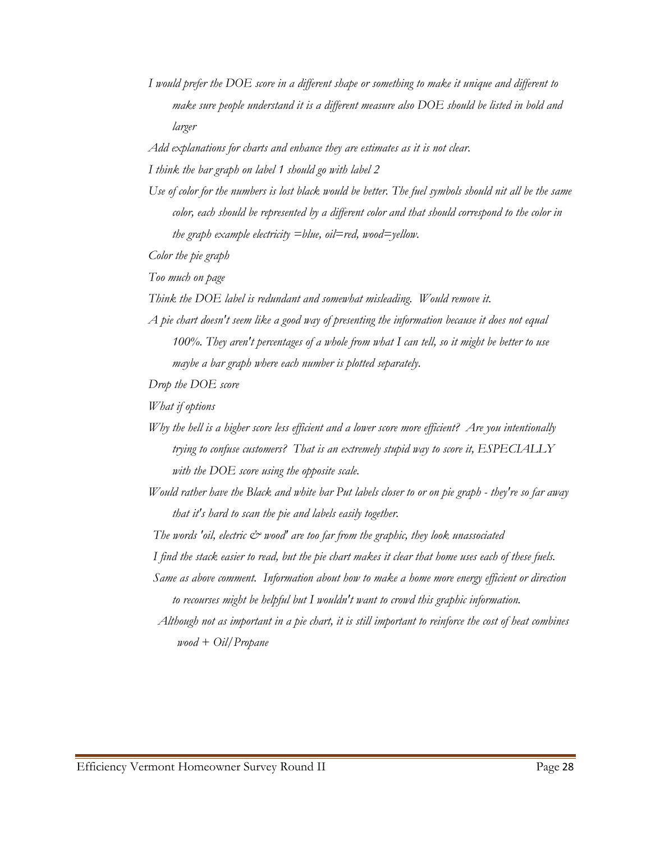*I would prefer the DOE score in a different shape or something to make it unique and different to make sure people understand it is a different measure also DOE should be listed in bold and larger* 

*Add explanations for charts and enhance they are estimates as it is not clear.* 

*I think the bar graph on label 1 should go with label 2* 

*Use of color for the numbers is lost black would be better. The fuel symbols should nit all be the same color, each should be represented by a different color and that should correspond to the color in the graph example electricity =blue, oil=red, wood=yellow.* 

*Color the pie graph* 

*Too much on page* 

*Think the DOE label is redundant and somewhat misleading. Would remove it.* 

*A pie chart doesn't seem like a good way of presenting the information because it does not equal 100%. They aren't percentages of a whole from what I can tell, so it might be better to use maybe a bar graph where each number is plotted separately.* 

*Drop the DOE score* 

*What if options* 

- *Why the hell is a higher score less efficient and a lower score more efficient? Are you intentionally trying to confuse customers? That is an extremely stupid way to score it, ESPECIALLY with the DOE score using the opposite scale.*
- *Would rather have the Black and white bar Put labels closer to or on pie graph they're so far away that it's hard to scan the pie and labels easily together.*

*The words 'oil, electric*  $\dot{c}$  *wood' are too far from the graphic, they look unassociated* 

*I find the stack easier to read, but the pie chart makes it clear that home uses each of these fuels.* 

*Same as above comment. Information about how to make a home more energy efficient or direction to recourses might be helpful but I wouldn't want to crowd this graphic information.* 

*Although not as important in a pie chart, it is still important to reinforce the cost of heat combines wood + Oil/Propane*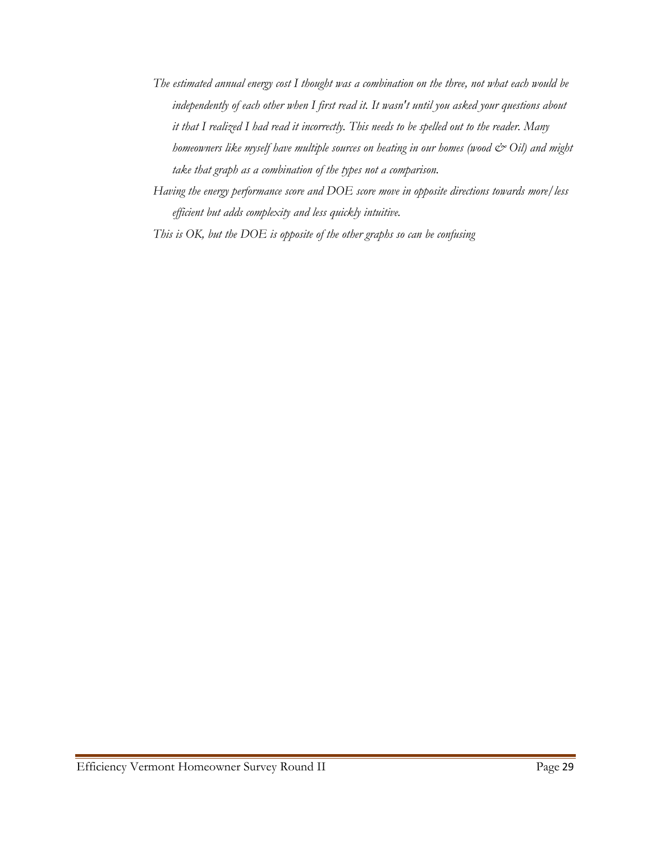- *The estimated annual energy cost I thought was a combination on the three, not what each would be independently of each other when I first read it. It wasn't until you asked your questions about it that I realized I had read it incorrectly. This needs to be spelled out to the reader. Many homeowners like myself have multiple sources on heating in our homes (wood*  $\breve{c}$ *<sup>2</sup> Oil) and might take that graph as a combination of the types not a comparison.*
- *Having the energy performance score and DOE score move in opposite directions towards more/less efficient but adds complexity and less quickly intuitive.*

*This is OK, but the DOE is opposite of the other graphs so can be confusing*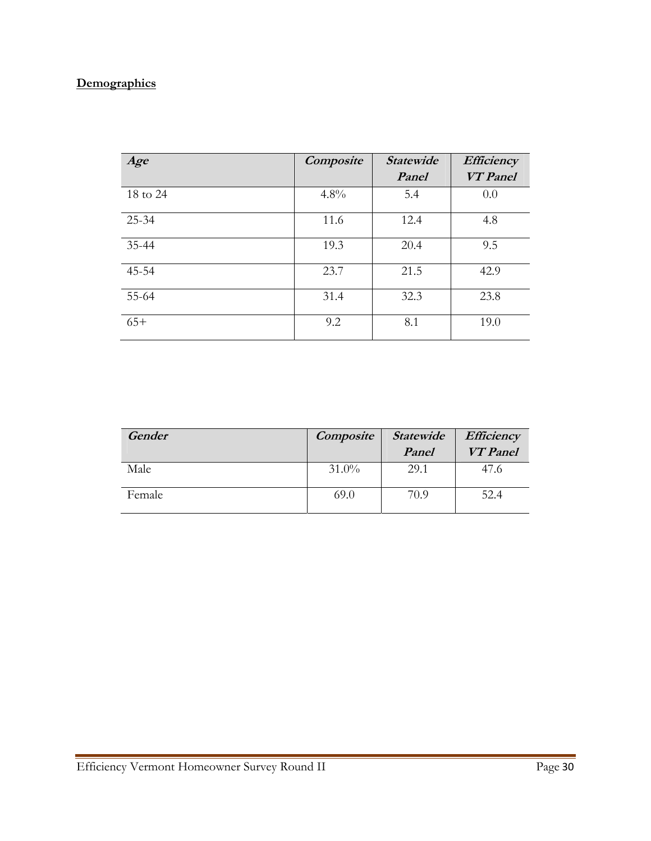# **Demographics**

| Age      | Composite | <b>Statewide</b> | Efficiency<br><b>VT</b> Panel |
|----------|-----------|------------------|-------------------------------|
|          |           | Panel            |                               |
| 18 to 24 | 4.8%      | 5.4              | 0.0                           |
| 25-34    | 11.6      | 12.4             | 4.8                           |
| 35-44    | 19.3      | 20.4             | 9.5                           |
| 45-54    | 23.7      | 21.5             | 42.9                          |
| 55-64    | 31.4      | 32.3             | 23.8                          |
| $65+$    | 9.2       | 8.1              | 19.0                          |

| Gender | <b>Composite</b> | Statewide | Efficiency      |
|--------|------------------|-----------|-----------------|
|        |                  | Panel     | <b>VT</b> Panel |
| Male   | $31.0\%$         | 29.1      | 47.6            |
| Female | 69.0             | 70.9      | 52.4            |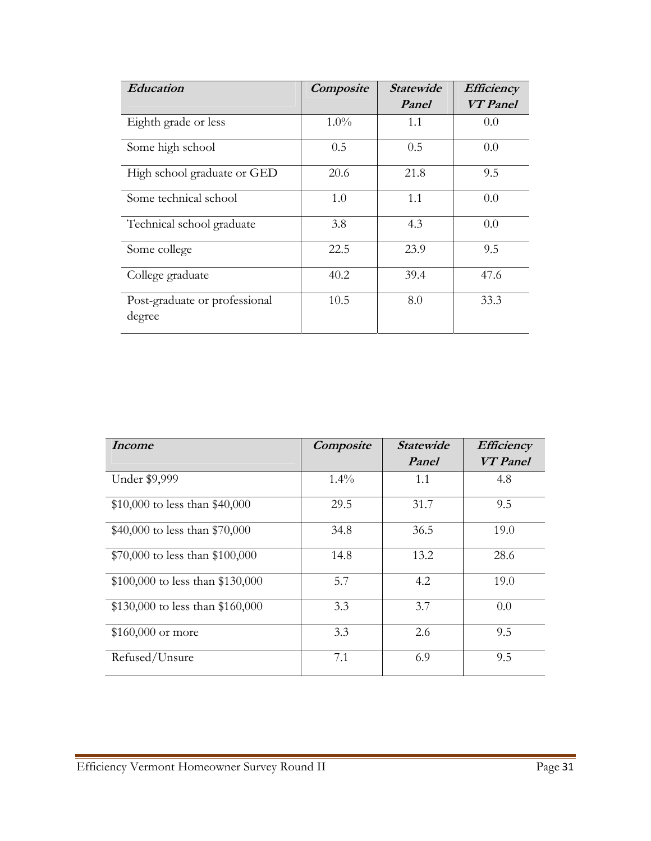| Education                               | Composite | <i><b>Statewide</b></i> | Efficiency      |
|-----------------------------------------|-----------|-------------------------|-----------------|
|                                         |           | Panel                   | <b>VT</b> Panel |
| Eighth grade or less                    | $1.0\%$   | 1.1                     | 0.0             |
| Some high school                        | 0.5       | 0.5                     | 0.0             |
| High school graduate or GED             | 20.6      | 21.8                    | 9.5             |
| Some technical school                   | 1.0       | 1.1                     | 0.0             |
| Technical school graduate               | 3.8       | 4.3                     | 0.0             |
| Some college                            | 22.5      | 23.9                    | 9.5             |
| College graduate                        | 40.2      | 39.4                    | 47.6            |
| Post-graduate or professional<br>degree | 10.5      | 8.0                     | 33.3            |

| Income                           | Composite | <i><b>Statewide</b></i> | <b>Efficiency</b> |
|----------------------------------|-----------|-------------------------|-------------------|
|                                  |           | Panel                   | <b>VT</b> Panel   |
| Under \$9,999                    | 1.4%      | 1.1                     | 4.8               |
| \$10,000 to less than \$40,000   | 29.5      | 31.7                    | 9.5               |
| \$40,000 to less than \$70,000   | 34.8      | 36.5                    | 19.0              |
| \$70,000 to less than \$100,000  | 14.8      | 13.2                    | 28.6              |
| \$100,000 to less than \$130,000 | 5.7       | 4.2                     | 19.0              |
| \$130,000 to less than \$160,000 | 3.3       | 3.7                     | 0.0               |
| \$160,000 or more                | 3.3       | 2.6                     | 9.5               |
| Refused/Unsure                   | 7.1       | 6.9                     | 9.5               |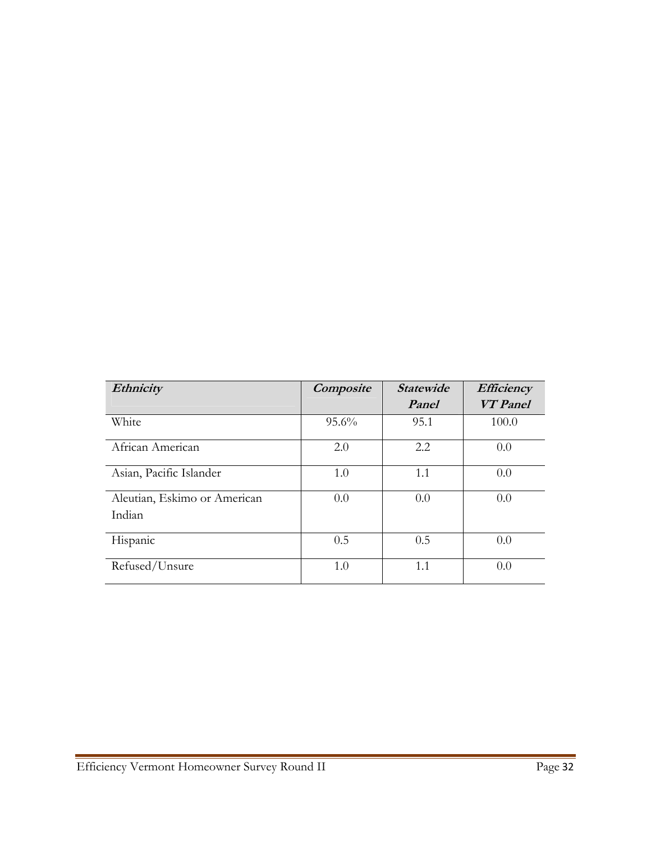| Ethnicity                    | Composite | <b>Statewide</b> | Efficiency      |
|------------------------------|-----------|------------------|-----------------|
|                              |           | Panel            | <b>VT</b> Panel |
| White                        | 95.6%     | 95.1             | 100.0           |
| African American             | 2.0       | 2.2              | 0.0             |
| Asian, Pacific Islander      | 1.0       | 1.1              | 0.0             |
| Aleutian, Eskimo or American | 0.0       | 0.0              | 0.0             |
| Indian                       |           |                  |                 |
| Hispanic                     | 0.5       | 0.5              | 0.0             |
| Refused/Unsure               | 1.0       | 1.1              | 0.0             |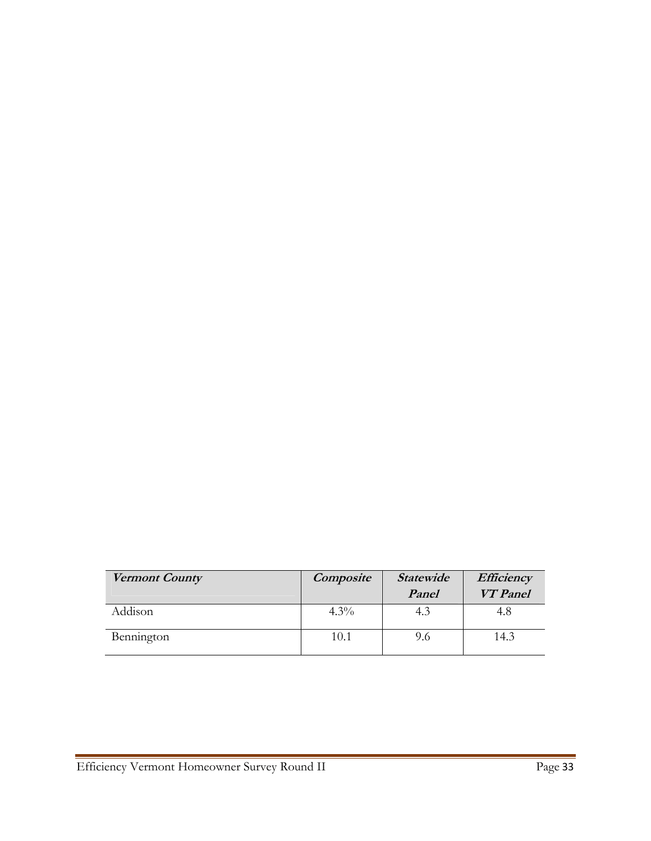| Vermont County | Composite | <b>Statewide</b> | Efficiency      |
|----------------|-----------|------------------|-----------------|
|                |           | Panel            | <b>VT</b> Panel |
| Addison        | $4.3\%$   | 4.3              | 4.8             |
| Bennington     | 10.1      | 9.6              | 14.3            |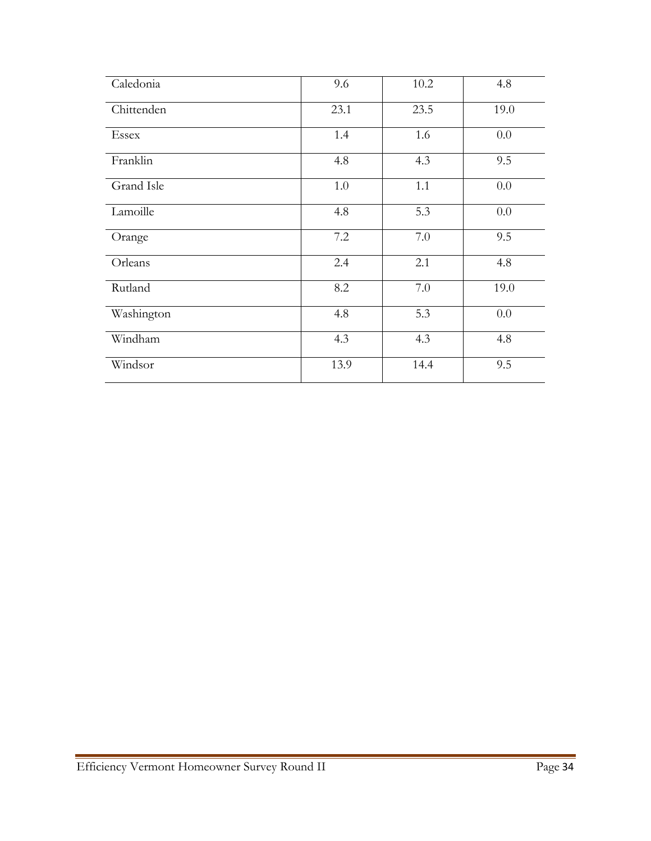| Caledonia  | 9.6     | 10.2 | 4.8  |
|------------|---------|------|------|
| Chittenden | 23.1    | 23.5 | 19.0 |
| Essex      | 1.4     | 1.6  | 0.0  |
| Franklin   | 4.8     | 4.3  | 9.5  |
| Grand Isle | $1.0\,$ | 1.1  | 0.0  |
| Lamoille   | 4.8     | 5.3  | 0.0  |
| Orange     | 7.2     | 7.0  | 9.5  |
| Orleans    | 2.4     | 2.1  | 4.8  |
| Rutland    | 8.2     | 7.0  | 19.0 |
| Washington | 4.8     | 5.3  | 0.0  |
| Windham    | 4.3     | 4.3  | 4.8  |
| Windsor    | 13.9    | 14.4 | 9.5  |